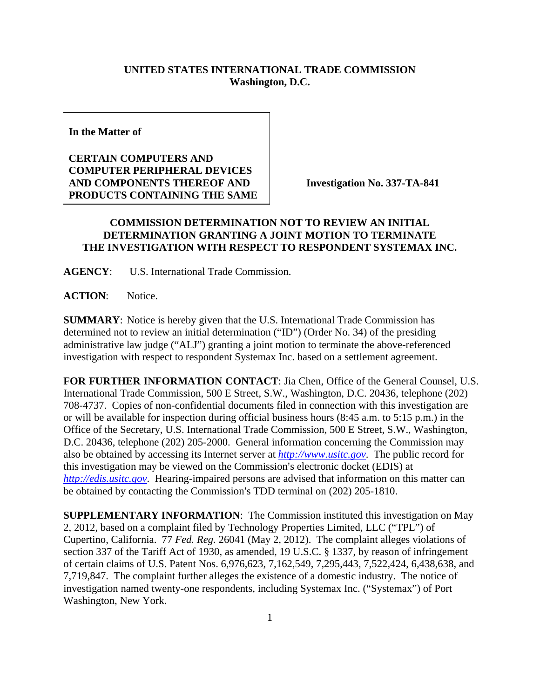## **UNITED STATES INTERNATIONAL TRADE COMMISSION Washington, D.C.**

**In the Matter of** 

## **CERTAIN COMPUTERS AND COMPUTER PERIPHERAL DEVICES AND COMPONENTS THEREOF AND PRODUCTS CONTAINING THE SAME**

**Investigation No. 337-TA-841** 

## **COMMISSION DETERMINATION NOT TO REVIEW AN INITIAL DETERMINATION GRANTING A JOINT MOTION TO TERMINATE THE INVESTIGATION WITH RESPECT TO RESPONDENT SYSTEMAX INC.**

**AGENCY**: U.S. International Trade Commission.

**ACTION**: Notice.

**SUMMARY**: Notice is hereby given that the U.S. International Trade Commission has determined not to review an initial determination ("ID") (Order No. 34) of the presiding administrative law judge ("ALJ") granting a joint motion to terminate the above-referenced investigation with respect to respondent Systemax Inc. based on a settlement agreement.

**FOR FURTHER INFORMATION CONTACT**: Jia Chen, Office of the General Counsel, U.S. International Trade Commission, 500 E Street, S.W., Washington, D.C. 20436, telephone (202) 708-4737. Copies of non-confidential documents filed in connection with this investigation are or will be available for inspection during official business hours (8:45 a.m. to 5:15 p.m.) in the Office of the Secretary, U.S. International Trade Commission, 500 E Street, S.W., Washington, D.C. 20436, telephone (202) 205-2000. General information concerning the Commission may also be obtained by accessing its Internet server at *http://www.usitc.gov*. The public record for this investigation may be viewed on the Commission's electronic docket (EDIS) at *http://edis.usitc.gov*. Hearing-impaired persons are advised that information on this matter can be obtained by contacting the Commission's TDD terminal on (202) 205-1810.

**SUPPLEMENTARY INFORMATION**: The Commission instituted this investigation on May 2, 2012, based on a complaint filed by Technology Properties Limited, LLC ("TPL") of Cupertino, California. 77 *Fed. Reg.* 26041 (May 2, 2012). The complaint alleges violations of section 337 of the Tariff Act of 1930, as amended, 19 U.S.C. § 1337, by reason of infringement of certain claims of U.S. Patent Nos. 6,976,623, 7,162,549, 7,295,443, 7,522,424, 6,438,638, and 7,719,847. The complaint further alleges the existence of a domestic industry. The notice of investigation named twenty-one respondents, including Systemax Inc. ("Systemax") of Port Washington, New York.